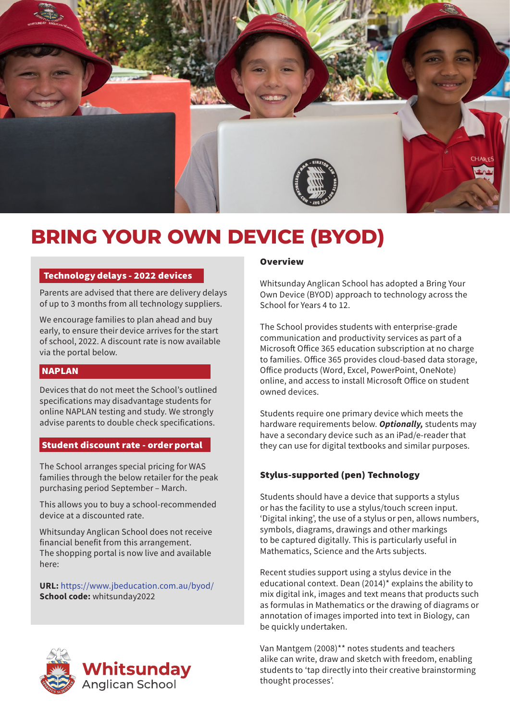

# **BRING YOUR OWN DEVICE (BYOD)**

## Technology delays - 2022 devices

Parents are advised that there are delivery delays of up to 3 months from all technology suppliers.

We encourage families to plan ahead and buy early, to ensure their device arrives for the start of school, 2022. A discount rate is now available via the portal below.

# NAPLAN

Devices that do not meet the School's outlined specifications may disadvantage students for online NAPLAN testing and study. We strongly advise parents to double check specifications.

## Student discount rate - order portal

The School arranges special pricing for WAS families through the below retailer for the peak purchasing period September – March.

This allows you to buy a school-recommended device at a discounted rate.

Whitsunday Anglican School does not receive financial benefit from this arrangement. The shopping portal is now live and available here:

URL: [https://www.jbeducation.com.au/byod/]( https://www.jbeducation.com.au/byod/) School code: whitsunday2022

![](_page_0_Picture_12.jpeg)

#### **Overview**

Whitsunday Anglican School has adopted a Bring Your Own Device (BYOD) approach to technology across the School for Years 4 to 12.

The School provides students with enterprise-grade communication and productivity services as part of a Microsoft Office 365 education subscription at no charge to families. Office 365 provides cloud-based data storage, Office products (Word, Excel, PowerPoint, OneNote) online, and access to install Microsoft Office on student owned devices.

Students require one primary device which meets the hardware requirements below. *Optionally,* students may have a secondary device such as an iPad/e-reader that they can use for digital textbooks and similar purposes.

## Stylus-supported (pen) Technology

Students should have a device that supports a stylus or has the facility to use a stylus/touch screen input. 'Digital inking', the use of a stylus or pen, allows numbers, symbols, diagrams, drawings and other markings to be captured digitally. This is particularly useful in Mathematics, Science and the Arts subjects.

Recent studies support using a stylus device in the educational context. Dean (2014)\* explains the ability to mix digital ink, images and text means that products such as formulas in Mathematics or the drawing of diagrams or annotation of images imported into text in Biology, can be quickly undertaken.

Van Mantgem (2008)\*\* notes students and teachers alike can write, draw and sketch with freedom, enabling students to 'tap directly into their creative brainstorming thought processes'.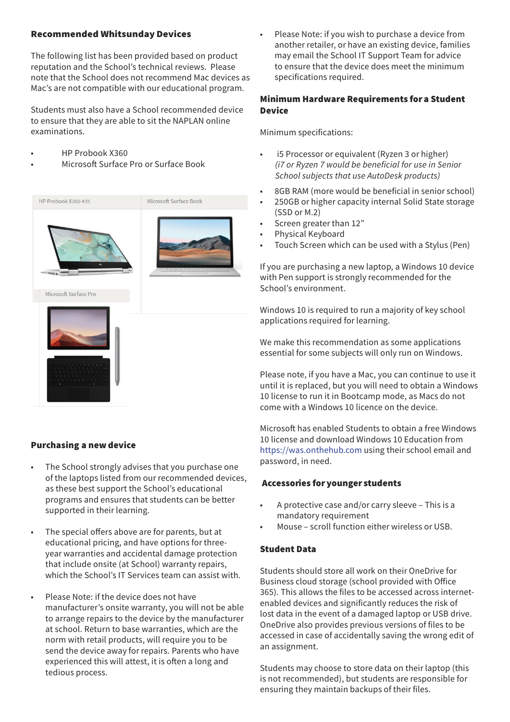# Recommended Whitsunday Devices

The following list has been provided based on product reputation and the School's technical reviews. Please note that the School does not recommend Mac devices as Mac's are not compatible with our educational program.

Students must also have a School recommended device to ensure that they are able to sit the NAPLAN online examinations.

- HP Probook X360
- Microsoft Surface Pro or Surface Book

![](_page_1_Picture_5.jpeg)

# Purchasing a new device

- The School strongly advises that you purchase one of the laptops listed from our recommended devices, as these best support the School's educational programs and ensures that students can be better supported in their learning.
- The special offers above are for parents, but at educational pricing, and have options for threeyear warranties and accidental damage protection that include onsite (at School) warranty repairs, which the School's IT Services team can assist with.
- Please Note: if the device does not have manufacturer's onsite warranty, you will not be able to arrange repairs to the device by the manufacturer at school. Return to base warranties, which are the norm with retail products, will require you to be send the device away for repairs. Parents who have experienced this will attest, it is often a long and tedious process.

Please Note: if you wish to purchase a device from another retailer, or have an existing device, families may email the School IT Support Team for advice to ensure that the device does meet the minimum specifications required.

# Minimum Hardware Requirements for a Student Device

Minimum specifications:

- i5 Processor or equivalent (Ryzen 3 or higher) *(i7 or Ryzen 7 would be beneficial for use in Senior School subjects that use AutoDesk products)*
- 8GB RAM (more would be beneficial in senior school)
- 250GB or higher capacity internal Solid State storage (SSD or M.2)
- Screen greater than 12"
- Physical Keyboard
- Touch Screen which can be used with a Stylus (Pen)

If you are purchasing a new laptop, a Windows 10 device with Pen support is strongly recommended for the School's environment.

Windows 10 is required to run a majority of key school applications required for learning.

We make this recommendation as some applications essential for some subjects will only run on Windows.

Please note, if you have a Mac, you can continue to use it until it is replaced, but you will need to obtain a Windows 10 license to run it in Bootcamp mode, as Macs do not come with a Windows 10 licence on the device.

Microsoft has enabled Students to obtain a free Windows 10 license and download Windows 10 Education from https://was.onthehub.com using their school email and password, in need.

# Accessories for younger students

- A protective case and/or carry sleeve This is a mandatory requirement
- Mouse scroll function either wireless or USB.

# Student Data

Students should store all work on their OneDrive for Business cloud storage (school provided with Office 365). This allows the files to be accessed across internetenabled devices and significantly reduces the risk of lost data in the event of a damaged laptop or USB drive. OneDrive also provides previous versions of files to be accessed in case of accidentally saving the wrong edit of an assignment.

Students may choose to store data on their laptop (this is not recommended), but students are responsible for ensuring they maintain backups of their files.